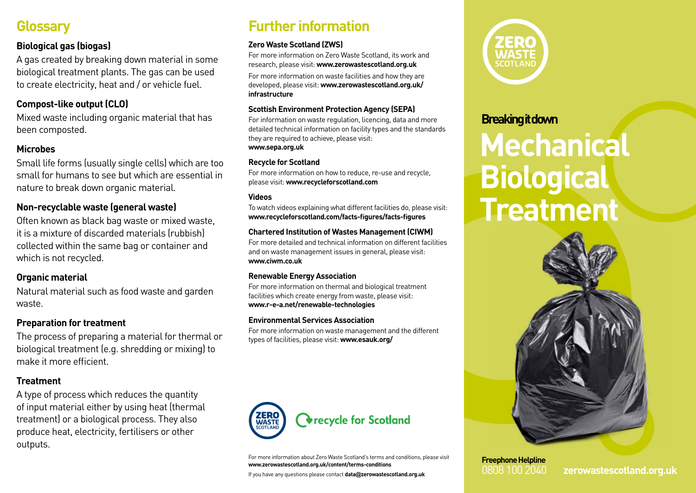# **Glossary**

#### **Biological gas (biogas)**

A gas created by breaking down material in some biological treatment plants. The gas can be used to create electricity, heat and / or vehicle fuel.

### **Compost-like output (CLO)**

Mixed waste including organic material that has been composted.

#### **Microbes**

Small life forms (usually single cells) which are too small for humans to see but which are essential in nature to break down organic material.

### **Non-recyclable waste (general waste)**

Often known as black bag waste or mixed waste, it is a mixture of discarded materials (rubbish) collected within the same bag or container and which is not recycled.

#### **Organic material**

Natural material such as food waste and garden waste.

### **Preparation for treatment**

The process of preparing a material for thermal or biological treatment (e.g. shredding or mixing) to make it more efficient.

### **Treatment**

A type of process which reduces the quantity of input material either by using heat (thermal treatment) or a biological process. They also produce heat, electricity, fertilisers or other outputs.

# **Further information**

#### **Zero Waste Scotland (ZWS)**

For more information on Zero Waste Scotland, its work and research, please visit: **www.zerowastescotland.org.uk**

For more information on waste facilities and how they are developed, please visit: **www.zerowastescotland.org.uk/ infrastructure**

#### **Scottish Environment Protection Agency (SEPA)**

For information on waste regulation, licencing, data and more detailed technical information on facility types and the standards they are required to achieve, please visit: **www.sepa.org.uk**

#### **Recycle for Scotland**

For more information on how to reduce, re-use and recycle, please visit: **www.recycleforscotland.com**

#### **Videos**

To watch videos explaining what different facilities do, please visit: **www.recycleforscotland.com/facts-figures/facts-figures**

#### **Chartered Institution of Wastes Management (CIWM)**

For more detailed and technical information on different facilities and on waste management issues in general, please visit: **www.ciwm.co.uk**

#### **Renewable Energy Association**

For more information on thermal and biological treatment facilities which create energy from waste, please visit: **www.r-e-a.net/renewable-technologies**

#### **Environmental Services Association**

For more information on waste management and the different types of facilities, please visit: **www.esauk.org/**



For more information about Zero Waste Scotland's terms and conditions, please visit **www.zerowastescotland.org.uk/content/terms-conditions**

If you have any questions please contact **data@zerowastescotland.org.uk**



## **Breaking it down**

# **Mechanical Biological Treatment**



**Freephone Helpline**

0808 100 2040 **zerowastescotland.org.uk**